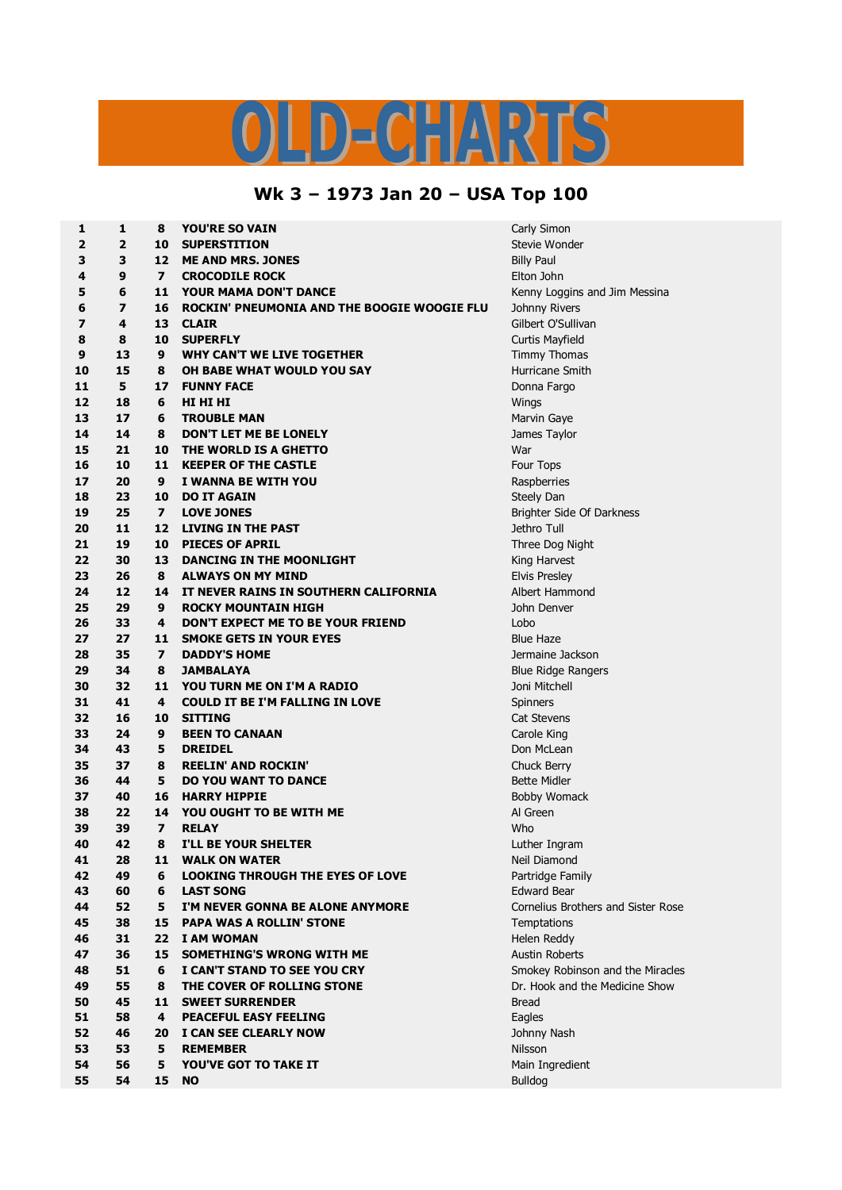## $\overline{\mathbf{A}}$  $\begin{array}{c} \begin{array}{c} \begin{array}{c} \end{array} \end{array}$

## **Wk 3 – 1973 Jan 20 – USA Top 100**

| 1<br>$\overline{\mathbf{2}}$ | 1<br>$\overline{2}$ | 8                             | <b>YOU'RE SO VAIN</b><br><b>SUPERSTITION</b>                                | Carly Simon          |
|------------------------------|---------------------|-------------------------------|-----------------------------------------------------------------------------|----------------------|
|                              |                     | 10<br>12                      | <b>ME AND MRS. JONES</b>                                                    | Stevie Wond          |
| 3                            | 3                   |                               |                                                                             | <b>Billy Paul</b>    |
| 4<br>5                       | 9<br>6              | $\overline{\mathbf{z}}$<br>11 | <b>CROCODILE ROCK</b>                                                       | Elton John           |
|                              |                     |                               | <b>YOUR MAMA DON'T DANCE</b><br>ROCKIN' PNEUMONIA AND THE BOOGIE WOOGIE FLU | Kenny Loggi          |
| 6                            | 7                   | 16                            |                                                                             | Johnny River         |
| 7                            | 4                   | 13                            | <b>CLAIR</b>                                                                | Gilbert O'Sul        |
| 8                            | 8                   | 10                            | <b>SUPERFLY</b>                                                             | Curtis Mayfie        |
| 9                            | 13                  | 9                             | WHY CAN'T WE LIVE TOGETHER<br>OH BABE WHAT WOULD YOU SAY                    | <b>Timmy Thon</b>    |
| 10                           | 15                  | 8                             |                                                                             | Hurricane Sr         |
| 11<br>12                     | 5                   | 17                            | <b>FUNNY FACE</b>                                                           | Donna Fargo          |
|                              | 18                  | 6                             | HI HI HI                                                                    | Wings                |
| 13                           | 17                  | 6                             | <b>TROUBLE MAN</b>                                                          | Marvin Gaye          |
| 14                           | 14                  | 8                             | <b>DON'T LET ME BE LONELY</b>                                               | James Taylo          |
| 15                           | 21                  | 10<br>11                      | THE WORLD IS A GHETTO                                                       | War                  |
| 16                           | 10                  |                               | <b>KEEPER OF THE CASTLE</b>                                                 | Four Tops            |
| 17                           | 20                  | 9                             | I WANNA BE WITH YOU                                                         | Raspberries          |
| 18                           | 23                  | 10                            | <b>DO IT AGAIN</b>                                                          | Steely Dan           |
| 19                           | 25                  | $\overline{ }$                | <b>LOVE JONES</b>                                                           | <b>Brighter Side</b> |
| 20                           | 11                  | 12                            | <b>LIVING IN THE PAST</b>                                                   | Jethro Tull          |
| 21                           | 19                  | 10                            | <b>PIECES OF APRIL</b>                                                      | Three Dog N          |
| 22                           | 30                  | 13                            | DANCING IN THE MOONLIGHT                                                    | King Harvest         |
| 23                           | 26                  | 8                             | <b>ALWAYS ON MY MIND</b>                                                    | <b>Elvis Presley</b> |
| 24                           | 12                  | 14                            | IT NEVER RAINS IN SOUTHERN CALIFORNIA                                       | Albert Hamn          |
| 25                           | 29                  | 9                             | <b>ROCKY MOUNTAIN HIGH</b>                                                  | John Denver          |
| 26                           | 33                  | 4                             | DON'T EXPECT ME TO BE YOUR FRIEND                                           | Lobo                 |
| 27                           | 27                  | 11                            | <b>SMOKE GETS IN YOUR EYES</b>                                              | <b>Blue Haze</b>     |
| 28                           | 35                  | $\overline{ }$                | <b>DADDY'S HOME</b>                                                         | Jermaine Ja          |
| 29                           | 34                  | 8                             | <b>JAMBALAYA</b>                                                            | <b>Blue Ridge F</b>  |
| 30                           | 32                  | 11                            | YOU TURN ME ON I'M A RADIO                                                  | Joni Mitchell        |
| 31                           | 41                  | 4                             | <b>COULD IT BE I'M FALLING IN LOVE</b>                                      | Spinners             |
| 32                           | 16                  | 10                            | <b>SITTING</b>                                                              | Cat Stevens          |
| 33                           | 24                  | 9                             | <b>BEEN TO CANAAN</b>                                                       | Carole King          |
| 34                           | 43                  | 5                             | <b>DREIDEL</b>                                                              | Don McLean           |
| 35                           | 37                  | 8                             | <b>REELIN' AND ROCKIN'</b>                                                  | Chuck Berry          |
| 36                           | 44                  | 5                             | DO YOU WANT TO DANCE                                                        | <b>Bette Midler</b>  |
| 37                           | 40                  | 16                            | <b>HARRY HIPPIE</b>                                                         | <b>Bobby Wom</b>     |
| 38                           | 22                  | 14                            | YOU OUGHT TO BE WITH ME                                                     | Al Green             |
| 39                           | 39                  | $\overline{ }$                | <b>RELAY</b>                                                                | Who                  |
| 40                           | 42                  | 8                             | I'LL BE YOUR SHELTER                                                        | Luther Ingra         |
| 41                           | 28                  | 11                            | <b>WALK ON WATER</b>                                                        | Neil Diamon          |
| 42                           | 49                  | 6                             | <b>LOOKING THROUGH THE EYES OF LOVE</b>                                     | Partridge Fa         |
| 43                           | 60                  | 6                             | <b>LAST SONG</b>                                                            | <b>Edward Bear</b>   |
| 44                           | 52                  | 5                             | I'M NEVER GONNA BE ALONE ANYMORE                                            | Cornelius Br         |
| 45                           | 38                  | 15                            | <b>PAPA WAS A ROLLIN' STONE</b>                                             | Temptations          |
| 46                           | 31                  | 22                            | <b>I AM WOMAN</b>                                                           | Helen Reddy          |
| 47                           | 36                  | 15                            | SOMETHING'S WRONG WITH ME                                                   | Austin Rober         |
| 48                           | 51                  | 6                             | I CAN'T STAND TO SEE YOU CRY                                                | Smokey Rob           |
| 49                           | 55                  | 8                             | THE COVER OF ROLLING STONE                                                  | Dr. Hook an          |
| 50                           | 45                  | 11                            | <b>SWEET SURRENDER</b>                                                      | <b>Bread</b>         |
| 51                           | 58                  | 4                             | <b>PEACEFUL EASY FEELING</b>                                                | Eagles               |
| 52                           | 46                  | 20                            | I CAN SEE CLEARLY NOW                                                       | Johnny Nash          |
| 53                           | 53                  | 5                             | <b>REMEMBER</b>                                                             | Nilsson              |
| 54                           | 56                  | 5                             | YOU'VE GOT TO TAKE IT                                                       | Main Ingredi         |
| 55                           | 54                  | 15                            | <b>NO</b>                                                                   | <b>Bulldog</b>       |
|                              |                     |                               |                                                                             |                      |

 **2 10 SUPERSTITION** Stevie Wonder **fiancy Loggins and Jim Messina**  *Rivers*  **4 13 CLAIR** Gilbert O'Sullivan **8 10 SUPERFLY** Curtis Mayfield *<u>immy Thomas</u>*  **15 8 OH BABE WHAT WOULD YOU SAY** Hurricane Smith **5 17 FUNNY FACE** Donna Fargo **17 6 TROUBLE MAN** Marvin Gaye **14 8 DON'T LET ME BE LONELY** James Taylor **laspberries 25 7 LOVE JONES** Brighter Side Of Darkness **19 10 PIECES OF APRIL** Three Dog Night **30 13 DANCING IN THE MOONLIGHT** King Harvest *R* Presley **12 14 IT NEVER RAINS IN SOUTHERN CALIFORNIA** Albert Hammond **35 7 DADDY'S HOME** Jermaine Jackson **34 8 JAMBALAYA** Blue Ridge Rangers  $\overline{\text{0}}$  **3 11 N** Itchell **16 10 SITTING** Cat Stevens Bahan **37 8 REELIN' AND ROCKIN'** Chuck Berry ette Midler **8** Womack **uther Ingram 28 11 WALK ON WATER** Neil Diamond **artridge Family dward Bear S EXECUTE: S CONNET BE ALCE AND REVER BE A SIGN EXECUTE:**  $\frac{1}{2}$  **<b>CONNET** ROSE  $emptations$ *<u>A</u></u>* **Reddy 36 15 SOMETHING'S WRONG WITH ME** Austin Roberts mokey Robinson and the Miracles **55 8 THE COVER OF ROLLING STONE** Dr. Hook and the Medicine Show **46 20 I CAN SEE CLEARLY NOW** Johnny Nash **fain Ingredient**